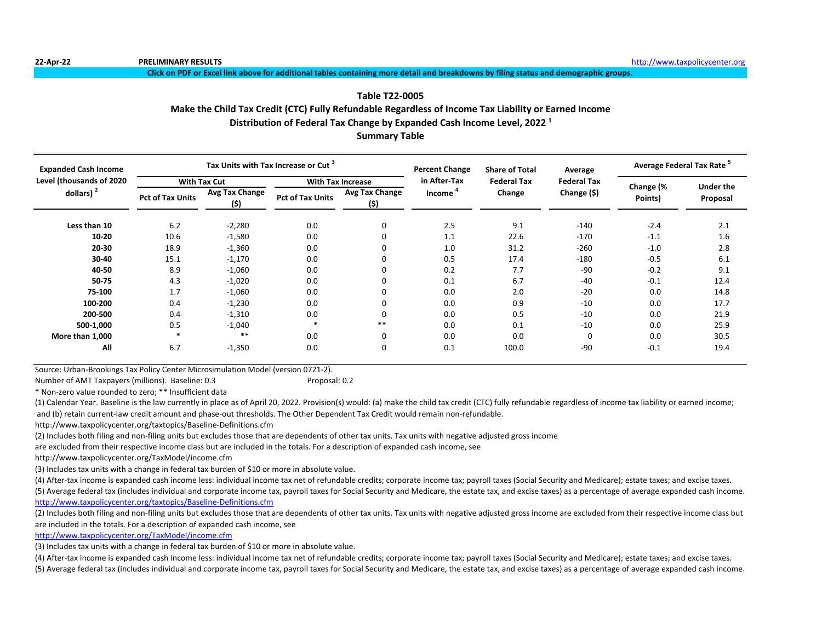**Click on PDF or Excel link above for additional tables containing more detail and breakdowns by filing status and demographic groups.**

# **Table T22-0005**

# **Make the Child Tax Credit (CTC) Fully Refundable Regardless of Income Tax Liability or Earned Income**

Distribution of Federal Tax Change by Expanded Cash Income Level, 2022<sup>1</sup>

**Summary Table**

| <b>Expanded Cash Income</b> |                         | Tax Units with Tax Increase or Cut <sup>3</sup> |                         |                               | <b>Percent Change</b> | <b>Share of Total</b> | Average            | Average Federal Tax Rate <sup>5</sup> |                  |  |
|-----------------------------|-------------------------|-------------------------------------------------|-------------------------|-------------------------------|-----------------------|-----------------------|--------------------|---------------------------------------|------------------|--|
| Level (thousands of 2020    |                         | <b>With Tax Cut</b>                             |                         | <b>With Tax Increase</b>      | in After-Tax          | <b>Federal Tax</b>    | <b>Federal Tax</b> |                                       | <b>Under the</b> |  |
| dollars) $2$                | <b>Pct of Tax Units</b> | <b>Avg Tax Change</b><br>(\$)                   | <b>Pct of Tax Units</b> | <b>Avg Tax Change</b><br>(\$) | Income                | Change                | Change (\$)        | Change (%<br>Points)                  | Proposal         |  |
| Less than 10                | 6.2                     | $-2,280$                                        | 0.0                     | $\mathbf 0$                   | 2.5                   | 9.1                   | $-140$             | $-2.4$                                | 2.1              |  |
| 10-20                       | 10.6                    | $-1,580$                                        | 0.0                     | 0                             | 1.1                   | 22.6                  | $-170$             | $-1.1$                                | 1.6              |  |
| 20-30                       | 18.9                    | $-1,360$                                        | 0.0                     | 0                             | 1.0                   | 31.2                  | $-260$             | $-1.0$                                | 2.8              |  |
| 30-40                       | 15.1                    | $-1,170$                                        | 0.0                     | 0                             | 0.5                   | 17.4                  | $-180$             | $-0.5$                                | 6.1              |  |
| 40-50                       | 8.9                     | $-1,060$                                        | 0.0                     | 0                             | 0.2                   | 7.7                   | $-90$              | $-0.2$                                | 9.1              |  |
| 50-75                       | 4.3                     | $-1,020$                                        | 0.0                     | 0                             | 0.1                   | 6.7                   | $-40$              | $-0.1$                                | 12.4             |  |
| 75-100                      | 1.7                     | $-1,060$                                        | 0.0                     | 0                             | 0.0                   | 2.0                   | $-20$              | 0.0                                   | 14.8             |  |
| 100-200                     | 0.4                     | $-1,230$                                        | 0.0                     | 0                             | 0.0                   | 0.9                   | $-10$              | 0.0                                   | 17.7             |  |
| 200-500                     | 0.4                     | $-1,310$                                        | 0.0                     | 0                             | 0.0                   | 0.5                   | $-10$              | 0.0                                   | 21.9             |  |
| 500-1,000                   | 0.5                     | $-1,040$                                        |                         | $***$                         | 0.0                   | 0.1                   | $-10$              | 0.0                                   | 25.9             |  |
| More than 1,000             |                         | $***$                                           | 0.0                     | $\mathbf 0$                   | 0.0                   | 0.0                   | 0                  | 0.0                                   | 30.5             |  |
| All                         | 6.7                     | $-1,350$                                        | 0.0                     | 0                             | 0.1                   | 100.0                 | $-90$              | $-0.1$                                | 19.4             |  |

Source: Urban-Brookings Tax Policy Center Microsimulation Model (version 0721-2).

Number of AMT Taxpayers (millions). Baseline: 0.3 Proposal: 0.2

\* Non-zero value rounded to zero; \*\* Insufficient data

(1) Calendar Year. Baseline is the law currently in place as of April 20, 2022. Provision(s) would: (a) make the child tax credit (CTC) fully refundable regardless of income tax liability or earned income; and (b) retain current-law credit amount and phase-out thresholds. The Other Dependent Tax Credit would remain non-refundable.

http://www.taxpolicycenter.org/taxtopics/Baseline-Definitions.cfm

(2) Includes both filing and non-filing units but excludes those that are dependents of other tax units. Tax units with negative adjusted gross income

are excluded from their respective income class but are included in the totals. For a description of expanded cash income, see

http://www.taxpolicycenter.org/TaxModel/income.cfm

(3) Includes tax units with a change in federal tax burden of \$10 or more in absolute value.

(4) After-tax income is expanded cash income less: individual income tax net of refundable credits; corporate income tax; payroll taxes (Social Security and Medicare); estate taxes; and excise taxes.

(5) Average federal tax (includes individual and corporate income tax, payroll taxes for Social Security and Medicare, the estate tax, and excise taxes) as a percentage of average expanded cash income. <http://www.taxpolicycenter.org/taxtopics/Baseline-Definitions.cfm>

(2) Includes both filing and non-filing units but excludes those that are dependents of other tax units. Tax units with negative adjusted gross income are excluded from their respective income class but are included in the totals. For a description of expanded cash income, see

[http://www.taxpolicycente](http://www.taxpolicycenter.org/TaxModel/income.cfm)r.org/TaxModel/income.cfm

(3) Includes tax units with a change in federal tax burden of \$10 or more in absolute value.

(4) After-tax income is expanded cash income less: individual income tax net of refundable credits; corporate income tax; payroll taxes (Social Security and Medicare); estate taxes; and excise taxes.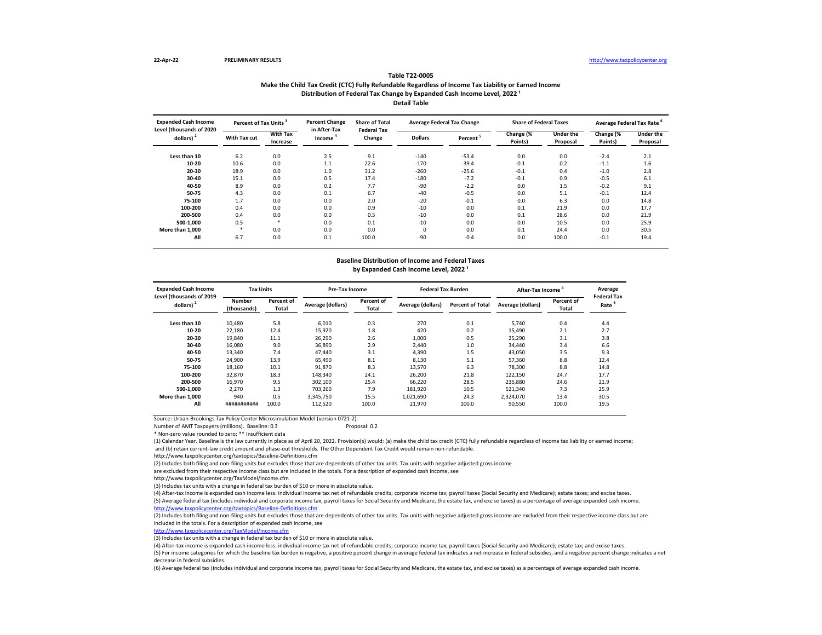### **Make the Child Tax Credit (CTC) Fully Refundable Regardless of Income Tax Liability or Earned Income Table T22-0005** Distribution of Federal Tax Change by Expanded Cash Income Level, 2022<sup>1</sup> **Detail Table**

| <b>Expanded Cash Income</b><br>Level (thousands of 2020 | Percent of Tax Units <sup>3</sup> |                             | <b>Percent Change</b><br>in After-Tax | <b>Share of Total</b><br><b>Federal Tax</b> |                | <b>Average Federal Tax Change</b> | <b>Share of Federal Taxes</b> |                       | Average Federal Tax Rate <sup>6</sup> |                              |
|---------------------------------------------------------|-----------------------------------|-----------------------------|---------------------------------------|---------------------------------------------|----------------|-----------------------------------|-------------------------------|-----------------------|---------------------------------------|------------------------------|
| dollars) <sup>2</sup>                                   | With Tax cut                      | <b>With Tax</b><br>Increase | Income                                | Change                                      | <b>Dollars</b> | Percent <sup>3</sup>              | Change (%<br>Points)          | Under the<br>Proposal | Change (%<br>Points)                  | <b>Under the</b><br>Proposal |
| Less than 10                                            | 6.2                               | 0.0                         | 2.5                                   | 9.1                                         | $-140$         | $-53.4$                           | 0.0                           | 0.0                   | $-2.4$                                | 2.1                          |
| 10-20                                                   | 10.6                              | 0.0                         | 1.1                                   | 22.6                                        | $-170$         | $-39.4$                           | $-0.1$                        | 0.2                   | $-1.1$                                | 1.6                          |
| 20-30                                                   | 18.9                              | 0.0                         | 1.0                                   | 31.2                                        | $-260$         | $-25.6$                           | $-0.1$                        | 0.4                   | $-1.0$                                | 2.8                          |
| 30-40                                                   | 15.1                              | 0.0                         | 0.5                                   | 17.4                                        | $-180$         | $-7.2$                            | $-0.1$                        | 0.9                   | $-0.5$                                | 6.1                          |
| 40-50                                                   | 8.9                               | 0.0                         | 0.2                                   | 7.7                                         | $-90$          | $-2.2$                            | 0.0                           | 1.5                   | $-0.2$                                | 9.1                          |
| 50-75                                                   | 4.3                               | 0.0                         | 0.1                                   | 6.7                                         | $-40$          | $-0.5$                            | 0.0                           | 5.1                   | $-0.1$                                | 12.4                         |
| 75-100                                                  | 1.7                               | 0.0                         | 0.0                                   | 2.0                                         | $-20$          | $-0.1$                            | 0.0                           | 6.3                   | 0.0                                   | 14.8                         |
| 100-200                                                 | 0.4                               | 0.0                         | 0.0                                   | 0.9                                         | $-10$          | 0.0                               | 0.1                           | 21.9                  | 0.0                                   | 17.7                         |
| 200-500                                                 | 0.4                               | 0.0                         | 0.0                                   | 0.5                                         | $-10$          | 0.0                               | 0.1                           | 28.6                  | 0.0                                   | 21.9                         |
| 500-1.000                                               | 0.5                               | *                           | 0.0                                   | 0.1                                         | $-10$          | 0.0                               | 0.0                           | 10.5                  | 0.0                                   | 25.9                         |
| More than 1.000                                         | *                                 | 0.0                         | 0.0                                   | 0.0                                         | $\Omega$       | 0.0                               | 0.1                           | 24.4                  | 0.0                                   | 30.5                         |
| All                                                     | 6.7                               | 0.0                         | 0.1                                   | 100.0                                       | $-90$          | $-0.4$                            | 0.0                           | 100.0                 | $-0.1$                                | 19.4                         |

# **Baseline Distribution of Income and Federal Taxes**

## by Expanded Cash Income Level, 2022<sup>1</sup>

| <b>Expanded Cash Income</b><br>Level (thousands of 2019 | <b>Tax Units</b>             |                     | Pre-Tax Income    |                     | <b>Federal Tax Burden</b> |                         | After-Tax Income  |                     | Average<br><b>Federal Tax</b> |
|---------------------------------------------------------|------------------------------|---------------------|-------------------|---------------------|---------------------------|-------------------------|-------------------|---------------------|-------------------------------|
| dollars) <sup>2</sup>                                   | <b>Number</b><br>(thousands) | Percent of<br>Total | Average (dollars) | Percent of<br>Total | Average (dollars)         | <b>Percent of Total</b> | Average (dollars) | Percent of<br>Total | Rate                          |
| Less than 10                                            | 10,480                       | 5.8                 | 6.010             | 0.3                 | 270                       | 0.1                     | 5.740             | 0.4                 | 4.4                           |
| 10-20                                                   | 22,180                       | 12.4                | 15,920            | 1.8                 | 420                       | 0.2                     | 15.490            | 2.1                 | 2.7                           |
| 20-30                                                   | 19,840                       | 11.1                | 26,290            | 2.6                 | 1,000                     | 0.5                     | 25,290            | 3.1                 | 3.8                           |
| 30-40                                                   | 16,080                       | 9.0                 | 36.890            | 2.9                 | 2.440                     | 1.0                     | 34,440            | 3.4                 | 6.6                           |
| 40-50                                                   | 13,340                       | 7.4                 | 47,440            | 3.1                 | 4,390                     | 1.5                     | 43,050            | 3.5                 | 9.3                           |
| 50-75                                                   | 24,900                       | 13.9                | 65.490            | 8.1                 | 8,130                     | 5.1                     | 57,360            | 8.8                 | 12.4                          |
| 75-100                                                  | 18,160                       | 10.1                | 91.870            | 8.3                 | 13,570                    | 6.3                     | 78.300            | 8.8                 | 14.8                          |
| 100-200                                                 | 32.870                       | 18.3                | 148.340           | 24.1                | 26.200                    | 21.8                    | 122.150           | 24.7                | 17.7                          |
| 200-500                                                 | 16,970                       | 9.5                 | 302,100           | 25.4                | 66,220                    | 28.5                    | 235,880           | 24.6                | 21.9                          |
| 500-1.000                                               | 2,270                        | 1.3                 | 703.260           | 7.9                 | 181,920                   | 10.5                    | 521,340           | 7.3                 | 25.9                          |
| More than 1.000                                         | 940                          | 0.5                 | 3.345.750         | 15.5                | 1,021,690                 | 24.3                    | 2,324,070         | 13.4                | 30.5                          |
| All                                                     | ###########                  | 100.0               | 112.520           | 100.0               | 21,970                    | 100.0                   | 90,550            | 100.0               | 19.5                          |

Source: Urban-Brookings Tax Policy Center Microsimulation Model (version 0721-2).

Number of AMT Taxpayers (millions). Baseline: 0.3 Proposal: 0.2

\* Non-zero value rounded to zero; \*\* Insufficient data

(1) Calendar Year. Baseline is the law currently in place as of April 20, 2022. Provision(s) would: (a) make the child tax credit (CTC) fully refundable regardless of income tax liability or earned income; and (b) retain current-law credit amount and phase-out thresholds. The Other Dependent Tax Credit would remain non-refundable.

http://www.taxpolicycenter.org/taxtopics/Baseline-Definitions.cfm

(2) Includes both filing and non-filing units but excludes those that are dependents of other tax units. Tax units with negative adjusted gross income

are excluded from their respective income class but are included in the totals. For a description of expanded cash income, see

http://www.taxpolicycenter.org/TaxModel/income.cfm

(3) Includes tax units with a change in federal tax burden of \$10 or more in absolute value.

(4) After-tax income is expanded cash income less: individual income tax net of refundable credits; corporate income tax; payroll taxes (Social Security and Medicare); estate taxes; and excise taxes. (5) Average federal tax (includes individual and corporate income tax, payroll taxes for Social Security and Medicare, the estate tax, and excise taxes) as a percentage of average expanded cash income. <http://www.taxpolicycenter.org/taxtopics/Baseline-Definitions.cfm>

(2) Includes both filing and non-filing units but excludes those that are dependents of other tax units. Tax units with negative adjusted gross income are excluded from their respective income class but are included in the totals. For a description of expanded cash income, see

[http://www.taxpolicycent](http://www.taxpolicycenter.org/TaxModel/income.cfm)er.org/TaxModel/income.cfm

(3) Includes tax units with a change in federal tax burden of \$10 or more in absolute value.

(4) After-tax income is expanded cash income less: individual income tax net of refundable credits; corporate income tax; payroll taxes (Social Security and Medicare); estate tax; and excise taxes. (5) For income categories for which the baseline tax burden is negative, a positive percent change in average federal tax indicates a net increase in federal subsidies, and a negative percent change indicates a net decrease in federal subsidies.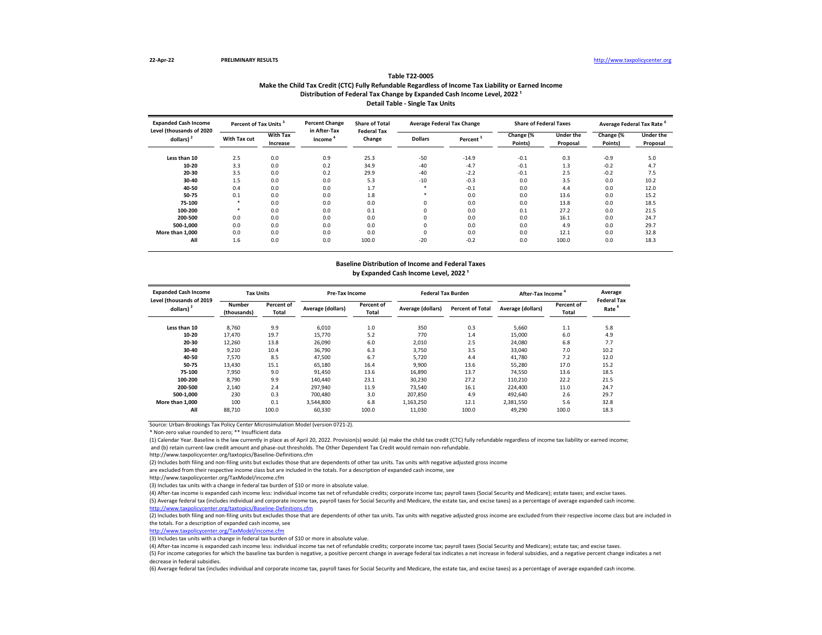### **Make the Child Tax Credit (CTC) Fully Refundable Regardless of Income Tax Liability or Earned Income Table T22-0005** Distribution of Federal Tax Change by Expanded Cash Income Level, 2022<sup>1</sup> **Detail Table - Single Tax Units**

| <b>Expanded Cash Income</b><br>Level (thousands of 2020 | Percent of Tax Units <sup>3</sup> |                             | <b>Percent Change</b><br>in After-Tax | <b>Share of Total</b><br><b>Federal Tax</b> |                | <b>Average Federal Tax Change</b> | <b>Share of Federal Taxes</b> |                       | Average Federal Tax Rate |                              |
|---------------------------------------------------------|-----------------------------------|-----------------------------|---------------------------------------|---------------------------------------------|----------------|-----------------------------------|-------------------------------|-----------------------|--------------------------|------------------------------|
| dollars) $2$                                            | With Tax cut                      | <b>With Tax</b><br>Increase | Income                                | Change                                      | <b>Dollars</b> | Percent                           | Change (%<br>Points)          | Under the<br>Proposal | Change (%<br>Points)     | <b>Under the</b><br>Proposal |
| Less than 10                                            | 2.5                               | 0.0                         | 0.9                                   | 25.3                                        | $-50$          | $-14.9$                           | $-0.1$                        | 0.3                   | $-0.9$                   | 5.0                          |
| 10-20                                                   | 3.3                               | 0.0                         | 0.2                                   | 34.9                                        | $-40$          | $-4.7$                            | $-0.1$                        | 1.3                   | $-0.2$                   | 4.7                          |
| 20-30                                                   | 3.5                               | 0.0                         | 0.2                                   | 29.9                                        | $-40$          | $-2.2$                            | $-0.1$                        | 2.5                   | $-0.2$                   | 7.5                          |
| 30-40                                                   | 1.5                               | 0.0                         | 0.0                                   | 5.3                                         | $-10$          | $-0.3$                            | 0.0                           | 3.5                   | 0.0                      | 10.2                         |
| 40-50                                                   | 0.4                               | 0.0                         | 0.0                                   | 1.7                                         | $\star$        | $-0.1$                            | 0.0                           | 4.4                   | 0.0                      | 12.0                         |
| 50-75                                                   | 0.1                               | 0.0                         | 0.0                                   | 1.8                                         | $\ast$         | 0.0                               | 0.0                           | 13.6                  | 0.0                      | 15.2                         |
| 75-100                                                  | *                                 | 0.0                         | 0.0                                   | 0.0                                         |                | 0.0                               | 0.0                           | 13.8                  | 0.0                      | 18.5                         |
| 100-200                                                 |                                   | 0.0                         | 0.0                                   | 0.1                                         | 0              | 0.0                               | 0.1                           | 27.2                  | 0.0                      | 21.5                         |
| 200-500                                                 | 0.0                               | 0.0                         | 0.0                                   | 0.0                                         | $\Omega$       | 0.0                               | 0.0                           | 16.1                  | 0.0                      | 24.7                         |
| 500-1.000                                               | 0.0                               | 0.0                         | 0.0                                   | 0.0                                         | 0              | 0.0                               | 0.0                           | 4.9                   | 0.0                      | 29.7                         |
| More than 1.000                                         | 0.0                               | 0.0                         | 0.0                                   | 0.0                                         |                | 0.0                               | 0.0                           | 12.1                  | 0.0                      | 32.8                         |
| All                                                     | 1.6                               | 0.0                         | 0.0                                   | 100.0                                       | $-20$          | $-0.2$                            | 0.0                           | 100.0                 | 0.0                      | 18.3                         |

### **Baseline Distribution of Income and Federal Taxes** by Expanded Cash Income Level, 2022<sup>1</sup>

| <b>Expanded Cash Income</b><br>Level (thousands of 2019 | <b>Tax Units</b>      |                     | Pre-Tax Income    |                     | <b>Federal Tax Burden</b> |                         | After-Tax Income  |                     | Average<br><b>Federal Tax</b> |
|---------------------------------------------------------|-----------------------|---------------------|-------------------|---------------------|---------------------------|-------------------------|-------------------|---------------------|-------------------------------|
| dollars) $2$                                            | Number<br>(thousands) | Percent of<br>Total | Average (dollars) | Percent of<br>Total | Average (dollars)         | <b>Percent of Total</b> | Average (dollars) | Percent of<br>Total | Rate                          |
| Less than 10                                            | 8,760                 | 9.9                 | 6,010             | 1.0                 | 350                       | 0.3                     | 5,660             | 1.1                 | 5.8                           |
| 10-20                                                   | 17.470                | 19.7                | 15.770            | 5.2                 | 770                       | 1.4                     | 15,000            | 6.0                 | 4.9                           |
| 20-30                                                   | 12,260                | 13.8                | 26.090            | 6.0                 | 2,010                     | 2.5                     | 24,080            | 6.8                 | 7.7                           |
| 30-40                                                   | 9.210                 | 10.4                | 36.790            | 6.3                 | 3.750                     | 3.5                     | 33,040            | 7.0                 | 10.2                          |
| 40-50                                                   | 7.570                 | 8.5                 | 47,500            | 6.7                 | 5,720                     | 4.4                     | 41,780            | 7.2                 | 12.0                          |
| 50-75                                                   | 13,430                | 15.1                | 65,180            | 16.4                | 9,900                     | 13.6                    | 55,280            | 17.0                | 15.2                          |
| 75-100                                                  | 7.950                 | 9.0                 | 91.450            | 13.6                | 16.890                    | 13.7                    | 74,550            | 13.6                | 18.5                          |
| 100-200                                                 | 8,790                 | 9.9                 | 140.440           | 23.1                | 30.230                    | 27.2                    | 110.210           | 22.2                | 21.5                          |
| 200-500                                                 | 2.140                 | 2.4                 | 297.940           | 11.9                | 73.540                    | 16.1                    | 224.400           | 11.0                | 24.7                          |
| 500-1.000                                               | 230                   | 0.3                 | 700.480           | 3.0                 | 207.850                   | 4.9                     | 492.640           | 2.6                 | 29.7                          |
| More than 1.000                                         | 100                   | 0.1                 | 3,544,800         | 6.8                 | 1,163,250                 | 12.1                    | 2,381,550         | 5.6                 | 32.8                          |
| All                                                     | 88.710                | 100.0               | 60.330            | 100.0               | 11.030                    | 100.0                   | 49.290            | 100.0               | 18.3                          |

Source: Urban-Brookings Tax Policy Center Microsimulation Model (version 0721-2).

\* Non-zero value rounded to zero; \*\* Insufficient data

(1) Calendar Year. Baseline is the law currently in place as of April 20, 2022. Provision(s) would: (a) make the child tax credit (CTC) fully refundable regardless of income tax liability or earned income; and (b) retain current-law credit amount and phase-out thresholds. The Other Dependent Tax Credit would remain non-refundable.

http://www.taxpolicycenter.org/taxtopics/Baseline-Definitions.cfm

(2) Includes both filing and non-filing units but excludes those that are dependents of other tax units. Tax units with negative adjusted gross income

are excluded from their respective income class but are included in the totals. For a description of expanded cash income, see

http://www.taxpolicycenter.org/TaxModel/income.cfm

(3) Includes tax units with a change in federal tax burden of \$10 or more in absolute value.

(4) After-tax income is expanded cash income less: individual income tax net of refundable credits; corporate income tax; payroll taxes (Social Security and Medicare); estate taxes; and excise taxes. (5) Average federal tax (includes individual and corporate income tax, payroll taxes for Social Security and Medicare, the estate tax, and excise taxes) as a percentage of average expanded cash income. <http://www.taxpolicycenter.org/taxtopics/Baseline-Definitions.cfm>

(2) Includes both filing and non-filing units but excludes those that are dependents of other tax units. Tax units with negative adjusted gross income are excluded from their respective income class but are included in the totals. For a description of expanded cash income, see

[http://www.taxpolicycente](http://www.taxpolicycenter.org/TaxModel/income.cfm)r.org/TaxModel/income.cfm

(3) Includes tax units with a change in federal tax burden of \$10 or more in absolute value.

(4) After-tax income is expanded cash income less: individual income tax net of refundable credits; corporate income tax; payroll taxes (Social Security and Medicare); estate tax; and excise taxes.

(5) For income categories for which the baseline tax burden is negative, a positive percent change in average federal tax indicates a net increase in federal subsidies, and a negative percent change indicates a net decrease in federal subsidies.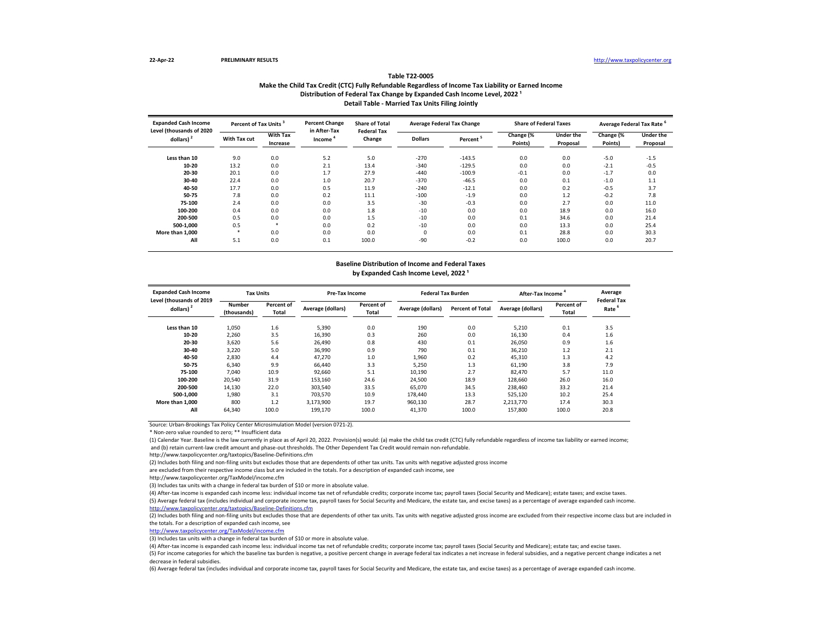### **Make the Child Tax Credit (CTC) Fully Refundable Regardless of Income Tax Liability or Earned Income Table T22-0005** Distribution of Federal Tax Change by Expanded Cash Income Level, 2022<sup>1</sup> **Detail Table - Married Tax Units Filing Jointly**

| <b>Expanded Cash Income</b><br>Level (thousands of 2020 | Percent of Tax Units <sup>3</sup> |                             | <b>Percent Change</b><br>in After-Tax | <b>Share of Total</b><br><b>Federal Tax</b> |                | <b>Average Federal Tax Change</b> | <b>Share of Federal Taxes</b> |                       | Average Federal Tax Rate |                              |
|---------------------------------------------------------|-----------------------------------|-----------------------------|---------------------------------------|---------------------------------------------|----------------|-----------------------------------|-------------------------------|-----------------------|--------------------------|------------------------------|
| dollars) $2$                                            | With Tax cut                      | <b>With Tax</b><br>Increase | Income                                | Change                                      | <b>Dollars</b> | Percent                           | Change (%<br>Points)          | Under the<br>Proposal | Change (%<br>Points)     | <b>Under the</b><br>Proposal |
| Less than 10                                            | 9.0                               | 0.0                         | 5.2                                   | 5.0                                         | $-270$         | $-143.5$                          | 0.0                           | 0.0                   | $-5.0$                   | $-1.5$                       |
| 10-20                                                   | 13.2                              | 0.0                         | 2.1                                   | 13.4                                        | $-340$         | $-129.5$                          | 0.0                           | 0.0                   | $-2.1$                   | $-0.5$                       |
| 20-30                                                   | 20.1                              | 0.0                         | 1.7                                   | 27.9                                        | $-440$         | $-100.9$                          | $-0.1$                        | 0.0                   | $-1.7$                   | 0.0                          |
| 30-40                                                   | 22.4                              | 0.0                         | 1.0                                   | 20.7                                        | $-370$         | $-46.5$                           | 0.0                           | 0.1                   | $-1.0$                   | 1.1                          |
| 40-50                                                   | 17.7                              | 0.0                         | 0.5                                   | 11.9                                        | $-240$         | $-12.1$                           | 0.0                           | 0.2                   | $-0.5$                   | 3.7                          |
| 50-75                                                   | 7.8                               | 0.0                         | 0.2                                   | 11.1                                        | $-100$         | $-1.9$                            | 0.0                           | 1.2                   | $-0.2$                   | 7.8                          |
| 75-100                                                  | 2.4                               | 0.0                         | 0.0                                   | 3.5                                         | $-30$          | $-0.3$                            | 0.0                           | 2.7                   | 0.0                      | 11.0                         |
| 100-200                                                 | 0.4                               | 0.0                         | 0.0                                   | 1.8                                         | $-10$          | 0.0                               | 0.0                           | 18.9                  | 0.0                      | 16.0                         |
| 200-500                                                 | 0.5                               | 0.0                         | 0.0                                   | 1.5                                         | $-10$          | 0.0                               | 0.1                           | 34.6                  | 0.0                      | 21.4                         |
| 500-1.000                                               | 0.5                               | $\ast$                      | 0.0                                   | 0.2                                         | $-10$          | 0.0                               | 0.0                           | 13.3                  | 0.0                      | 25.4                         |
| More than 1,000                                         |                                   | 0.0                         | 0.0                                   | 0.0                                         | $\Omega$       | 0.0                               | 0.1                           | 28.8                  | 0.0                      | 30.3                         |
| All                                                     | 5.1                               | 0.0                         | 0.1                                   | 100.0                                       | $-90$          | $-0.2$                            | 0.0                           | 100.0                 | 0.0                      | 20.7                         |

### **Baseline Distribution of Income and Federal Taxes** by Expanded Cash Income Level, 2022<sup>1</sup>

| <b>Expanded Cash Income</b><br>Level (thousands of 2019 | <b>Tax Units</b>      |                     | Pre-Tax Income    |                     | <b>Federal Tax Burden</b> |                         | After-Tax Income  | Average<br><b>Federal Tax</b> |      |
|---------------------------------------------------------|-----------------------|---------------------|-------------------|---------------------|---------------------------|-------------------------|-------------------|-------------------------------|------|
| dollars)                                                | Number<br>(thousands) | Percent of<br>Total | Average (dollars) | Percent of<br>Total | Average (dollars)         | <b>Percent of Total</b> | Average (dollars) | Percent of<br>Total           | Rate |
| Less than 10                                            | 1,050                 | 1.6                 | 5,390             | 0.0                 | 190                       | 0.0                     | 5,210             | 0.1                           | 3.5  |
| 10-20                                                   | 2.260                 | 3.5                 | 16.390            | 0.3                 | 260                       | 0.0                     | 16,130            | 0.4                           | 1.6  |
| 20-30                                                   | 3.620                 | 5.6                 | 26.490            | 0.8                 | 430                       | 0.1                     | 26.050            | 0.9                           | 1.6  |
| 30-40                                                   | 3,220                 | 5.0                 | 36,990            | 0.9                 | 790                       | 0.1                     | 36,210            | 1.2                           | 2.1  |
| 40-50                                                   | 2.830                 | 4.4                 | 47.270            | 1.0                 | 1,960                     | 0.2                     | 45,310            | 1.3                           | 4.2  |
| 50-75                                                   | 6,340                 | 9.9                 | 66.440            | 3.3                 | 5,250                     | 1.3                     | 61,190            | 3.8                           | 7.9  |
| 75-100                                                  | 7.040                 | 10.9                | 92,660            | 5.1                 | 10.190                    | 2.7                     | 82.470            | 5.7                           | 11.0 |
| 100-200                                                 | 20,540                | 31.9                | 153,160           | 24.6                | 24.500                    | 18.9                    | 128.660           | 26.0                          | 16.0 |
| 200-500                                                 | 14.130                | 22.0                | 303.540           | 33.5                | 65.070                    | 34.5                    | 238.460           | 33.2                          | 21.4 |
| 500-1.000                                               | 1.980                 | 3.1                 | 703.570           | 10.9                | 178.440                   | 13.3                    | 525.120           | 10.2                          | 25.4 |
| More than 1.000                                         | 800                   | 1.2                 | 3,173,900         | 19.7                | 960.130                   | 28.7                    | 2.213.770         | 17.4                          | 30.3 |
| All                                                     | 64,340                | 100.0               | 199,170           | 100.0               | 41.370                    | 100.0                   | 157.800           | 100.0                         | 20.8 |

Source: Urban-Brookings Tax Policy Center Microsimulation Model (version 0721-2).

\* Non-zero value rounded to zero; \*\* Insufficient data

(1) Calendar Year. Baseline is the law currently in place as of April 20, 2022. Provision(s) would: (a) make the child tax credit (CTC) fully refundable regardless of income tax liability or earned income; and (b) retain current-law credit amount and phase-out thresholds. The Other Dependent Tax Credit would remain non-refundable.

http://www.taxpolicycenter.org/taxtopics/Baseline-Definitions.cfm

(2) Includes both filing and non-filing units but excludes those that are dependents of other tax units. Tax units with negative adjusted gross income

are excluded from their respective income class but are included in the totals. For a description of expanded cash income, see

http://www.taxpolicycenter.org/TaxModel/income.cfm

(3) Includes tax units with a change in federal tax burden of \$10 or more in absolute value.

(4) After-tax income is expanded cash income less: individual income tax net of refundable credits; corporate income tax; payroll taxes (Social Security and Medicare); estate taxes; and excise taxes. (5) Average federal tax (includes individual and corporate income tax, payroll taxes for Social Security and Medicare, the estate tax, and excise taxes) as a percentage of average expanded cash income. <http://www.taxpolicycenter.org/taxtopics/Baseline-Definitions.cfm>

(2) Includes both filing and non-filing units but excludes those that are dependents of other tax units. Tax units with negative adjusted gross income are excluded from their respective income class but are included in

the totals. For a description of expanded cash income, see [http://www.taxpolicycente](http://www.taxpolicycenter.org/TaxModel/income.cfm)r.org/TaxModel/income.cfm

(3) Includes tax units with a change in federal tax burden of \$10 or more in absolute value.

(4) After-tax income is expanded cash income less: individual income tax net of refundable credits; corporate income tax; payroll taxes (Social Security and Medicare); estate tax; and excise taxes.

(5) For income categories for which the baseline tax burden is negative, a positive percent change in average federal tax indicates a net increase in federal subsidies, and a negative percent change indicates a net decrease in federal subsidies.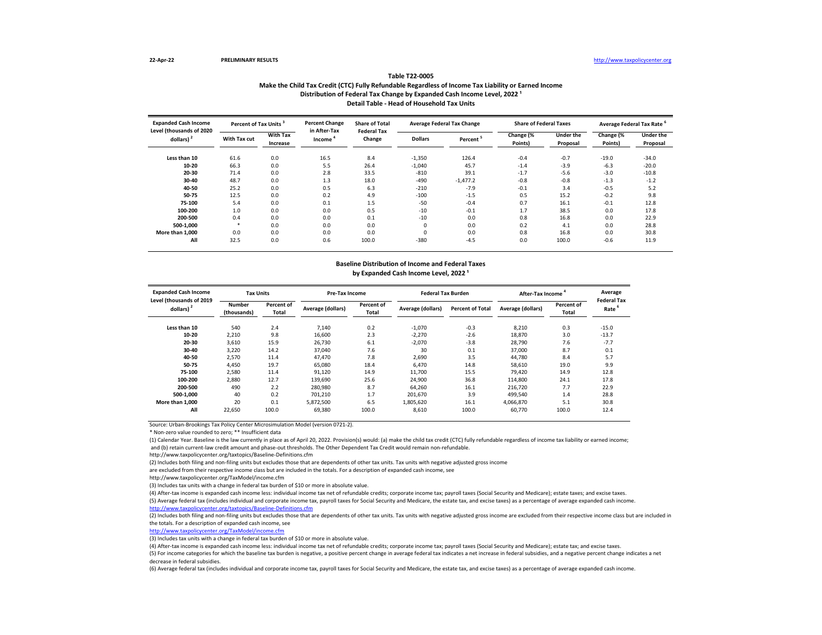### **Make the Child Tax Credit (CTC) Fully Refundable Regardless of Income Tax Liability or Earned Income Table T22-0005** Distribution of Federal Tax Change by Expanded Cash Income Level, 2022<sup>1</sup> **Detail Table - Head of Household Tax Units**

| <b>Expanded Cash Income</b><br>Level (thousands of 2020 |              | Percent of Tax Units <sup>3</sup> |                        | <b>Share of Total</b><br><b>Federal Tax</b> | <b>Average Federal Tax Change</b> |            | <b>Share of Federal Taxes</b> |                       | Average Federal Tax Rate |                              |
|---------------------------------------------------------|--------------|-----------------------------------|------------------------|---------------------------------------------|-----------------------------------|------------|-------------------------------|-----------------------|--------------------------|------------------------------|
| dollars) $2$                                            | With Tax cut | <b>With Tax</b><br>Increase       | in After-Tax<br>Income | Change                                      | <b>Dollars</b>                    | Percent    | Change (%<br>Points)          | Under the<br>Proposal | Change (%<br>Points)     | <b>Under the</b><br>Proposal |
| Less than 10                                            | 61.6         | 0.0                               | 16.5                   | 8.4                                         | $-1,350$                          | 126.4      | $-0.4$                        | $-0.7$                | $-19.0$                  | $-34.0$                      |
| 10-20                                                   | 66.3         | 0.0                               | 5.5                    | 26.4                                        | $-1,040$                          | 45.7       | $-1.4$                        | $-3.9$                | $-6.3$                   | $-20.0$                      |
| 20-30                                                   | 71.4         | 0.0                               | 2.8                    | 33.5                                        | $-810$                            | 39.1       | $-1.7$                        | $-5.6$                | $-3.0$                   | $-10.8$                      |
| 30-40                                                   | 48.7         | 0.0                               | 1.3                    | 18.0                                        | $-490$                            | $-1.477.2$ | $-0.8$                        | $-0.8$                | $-1.3$                   | $-1.2$                       |
| 40-50                                                   | 25.2         | 0.0                               | 0.5                    | 6.3                                         | $-210$                            | $-7.9$     | $-0.1$                        | 3.4                   | $-0.5$                   | 5.2                          |
| 50-75                                                   | 12.5         | 0.0                               | 0.2                    | 4.9                                         | $-100$                            | $-1.5$     | 0.5                           | 15.2                  | $-0.2$                   | 9.8                          |
| 75-100                                                  | 5.4          | 0.0                               | 0.1                    | 1.5                                         | $-50$                             | $-0.4$     | 0.7                           | 16.1                  | $-0.1$                   | 12.8                         |
| 100-200                                                 | 1.0          | 0.0                               | 0.0                    | 0.5                                         | $-10$                             | $-0.1$     | 1.7                           | 38.5                  | 0.0                      | 17.8                         |
| 200-500                                                 | 0.4          | 0.0                               | 0.0                    | 0.1                                         | $-10$                             | 0.0        | 0.8                           | 16.8                  | 0.0                      | 22.9                         |
| 500-1.000                                               |              | 0.0                               | 0.0                    | 0.0                                         | $\Omega$                          | 0.0        | 0.2                           | 4.1                   | 0.0                      | 28.8                         |
| More than 1.000                                         | 0.0          | 0.0                               | 0.0                    | 0.0                                         | $\Omega$                          | 0.0        | 0.8                           | 16.8                  | 0.0                      | 30.8                         |
| All                                                     | 32.5         | 0.0                               | 0.6                    | 100.0                                       | $-380$                            | $-4.5$     | 0.0                           | 100.0                 | $-0.6$                   | 11.9                         |

### **Baseline Distribution of Income and Federal Taxes** by Expanded Cash Income Level, 2022<sup>1</sup>

| <b>Expanded Cash Income</b><br>Level (thousands of 2019 | <b>Tax Units</b>      |                     | <b>Pre-Tax Income</b> |                     | <b>Federal Tax Burden</b> |                         | After-Tax Income  |                            | Average<br><b>Federal Tax</b> |
|---------------------------------------------------------|-----------------------|---------------------|-----------------------|---------------------|---------------------------|-------------------------|-------------------|----------------------------|-------------------------------|
| dollars) <sup>2</sup>                                   | Number<br>(thousands) | Percent of<br>Total | Average (dollars)     | Percent of<br>Total | Average (dollars)         | <b>Percent of Total</b> | Average (dollars) | Percent of<br><b>Total</b> | Rate                          |
| Less than 10                                            | 540                   | 2.4                 | 7,140                 | 0.2                 | $-1,070$                  | $-0.3$                  | 8,210             | 0.3                        | $-15.0$                       |
| 10-20                                                   | 2,210                 | 9.8                 | 16.600                | 2.3                 | $-2.270$                  | $-2.6$                  | 18,870            | 3.0                        | $-13.7$                       |
| 20-30                                                   | 3,610                 | 15.9                | 26.730                | 6.1                 | $-2.070$                  | $-3.8$                  | 28.790            | 7.6                        | $-7.7$                        |
| 30-40                                                   | 3,220                 | 14.2                | 37.040                | 7.6                 | 30                        | 0.1                     | 37,000            | 8.7                        | 0.1                           |
| 40-50                                                   | 2,570                 | 11.4                | 47.470                | 7.8                 | 2,690                     | 3.5                     | 44,780            | 8.4                        | 5.7                           |
| 50-75                                                   | 4,450                 | 19.7                | 65,080                | 18.4                | 6.470                     | 14.8                    | 58,610            | 19.0                       | 9.9                           |
| 75-100                                                  | 2,580                 | 11.4                | 91,120                | 14.9                | 11.700                    | 15.5                    | 79.420            | 14.9                       | 12.8                          |
| 100-200                                                 | 2,880                 | 12.7                | 139.690               | 25.6                | 24.900                    | 36.8                    | 114,800           | 24.1                       | 17.8                          |
| 200-500                                                 | 490                   | 2.2                 | 280.980               | 8.7                 | 64.260                    | 16.1                    | 216.720           | 7.7                        | 22.9                          |
| 500-1.000                                               | 40                    | 0.2                 | 701.210               | 1.7                 | 201.670                   | 3.9                     | 499.540           | 1.4                        | 28.8                          |
| More than 1.000                                         | 20                    | 0.1                 | 5,872,500             | 6.5                 | 1,805,620                 | 16.1                    | 4,066,870         | 5.1                        | 30.8                          |
| All                                                     | 22,650                | 100.0               | 69.380                | 100.0               | 8.610                     | 100.0                   | 60.770            | 100.0                      | 12.4                          |

Source: Urban-Brookings Tax Policy Center Microsimulation Model (version 0721-2).

\* Non-zero value rounded to zero; \*\* Insufficient data

(1) Calendar Year. Baseline is the law currently in place as of April 20, 2022. Provision(s) would: (a) make the child tax credit (CTC) fully refundable regardless of income tax liability or earned income; and (b) retain current-law credit amount and phase-out thresholds. The Other Dependent Tax Credit would remain non-refundable.

http://www.taxpolicycenter.org/taxtopics/Baseline-Definitions.cfm

(2) Includes both filing and non-filing units but excludes those that are dependents of other tax units. Tax units with negative adjusted gross income

are excluded from their respective income class but are included in the totals. For a description of expanded cash income, see

http://www.taxpolicycenter.org/TaxModel/income.cfm

(3) Includes tax units with a change in federal tax burden of \$10 or more in absolute value.

(4) After-tax income is expanded cash income less: individual income tax net of refundable credits; corporate income tax; payroll taxes (Social Security and Medicare); estate taxes; and excise taxes. (5) Average federal tax (includes individual and corporate income tax, payroll taxes for Social Security and Medicare, the estate tax, and excise taxes) as a percentage of average expanded cash income. <http://www.taxpolicycenter.org/taxtopics/Baseline-Definitions.cfm>

(2) Includes both filing and non-filing units but excludes those that are dependents of other tax units. Tax units with negative adjusted gross income are excluded from their respective income class but are included in the totals. For a description of expanded cash income, see

[http://www.taxpolicycente](http://www.taxpolicycenter.org/TaxModel/income.cfm)r.org/TaxModel/income.cfm

(3) Includes tax units with a change in federal tax burden of \$10 or more in absolute value.

(4) After-tax income is expanded cash income less: individual income tax net of refundable credits; corporate income tax; payroll taxes (Social Security and Medicare); estate tax; and excise taxes.

(5) For income categories for which the baseline tax burden is negative, a positive percent change in average federal tax indicates a net increase in federal subsidies, and a negative percent change indicates a net decrease in federal subsidies.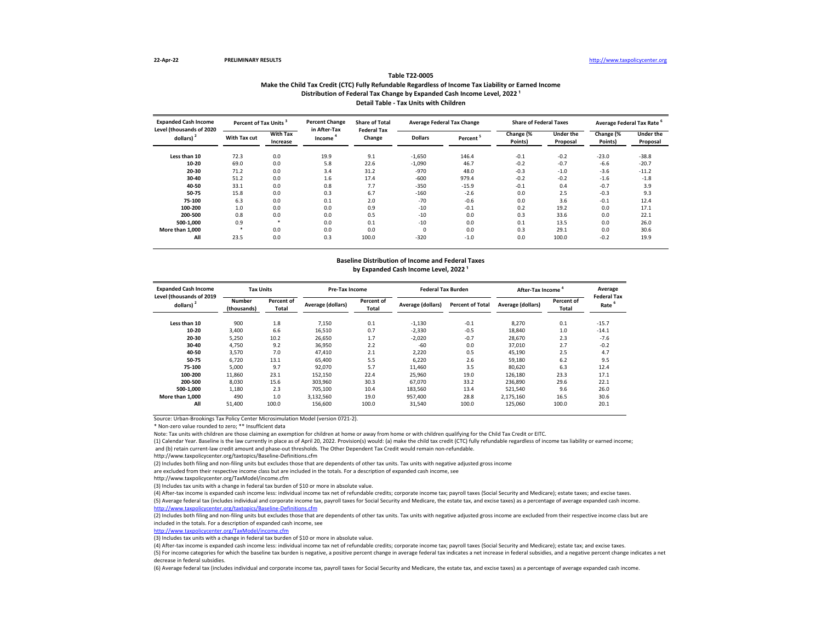### **Make the Child Tax Credit (CTC) Fully Refundable Regardless of Income Tax Liability or Earned Income Table T22-0005** Distribution of Federal Tax Change by Expanded Cash Income Level, 2022<sup>1</sup> **Detail Table - Tax Units with Children**

| <b>Expanded Cash Income</b><br>Level (thousands of 2020 | Percent of Tax Units <sup>3</sup> |                             | <b>Percent Change</b><br>in After-Tax | <b>Share of Total</b><br><b>Federal Tax</b> |                | <b>Average Federal Tax Change</b> | <b>Share of Federal Taxes</b> |                       | Average Federal Tax Rate <sup>6</sup> |                              |
|---------------------------------------------------------|-----------------------------------|-----------------------------|---------------------------------------|---------------------------------------------|----------------|-----------------------------------|-------------------------------|-----------------------|---------------------------------------|------------------------------|
| dollars) $2$                                            | With Tax cut                      | <b>With Tax</b><br>Increase | Income                                | Change                                      | <b>Dollars</b> | Percent                           | Change (%<br>Points)          | Under the<br>Proposal | Change (%<br>Points)                  | <b>Under the</b><br>Proposal |
| Less than 10                                            | 72.3                              | 0.0                         | 19.9                                  | 9.1                                         | $-1,650$       | 146.4                             | $-0.1$                        | $-0.2$                | $-23.0$                               | $-38.8$                      |
| 10-20                                                   | 69.0                              | 0.0                         | 5.8                                   | 22.6                                        | $-1,090$       | 46.7                              | $-0.2$                        | $-0.7$                | $-6.6$                                | $-20.7$                      |
| 20-30                                                   | 71.2                              | 0.0                         | 3.4                                   | 31.2                                        | $-970$         | 48.0                              | $-0.3$                        | $-1.0$                | $-3.6$                                | $-11.2$                      |
| 30-40                                                   | 51.2                              | 0.0                         | 1.6                                   | 17.4                                        | $-600$         | 979.4                             | $-0.2$                        | $-0.2$                | $-1.6$                                | $-1.8$                       |
| 40-50                                                   | 33.1                              | 0.0                         | 0.8                                   | 7.7                                         | $-350$         | $-15.9$                           | $-0.1$                        | 0.4                   | $-0.7$                                | 3.9                          |
| 50-75                                                   | 15.8                              | 0.0                         | 0.3                                   | 6.7                                         | $-160$         | $-2.6$                            | 0.0                           | 2.5                   | $-0.3$                                | 9.3                          |
| 75-100                                                  | 6.3                               | 0.0                         | 0.1                                   | 2.0                                         | $-70$          | $-0.6$                            | 0.0                           | 3.6                   | $-0.1$                                | 12.4                         |
| 100-200                                                 | 1.0                               | 0.0                         | 0.0                                   | 0.9                                         | $-10$          | $-0.1$                            | 0.2                           | 19.2                  | 0.0                                   | 17.1                         |
| 200-500                                                 | 0.8                               | 0.0                         | 0.0                                   | 0.5                                         | $-10$          | 0.0                               | 0.3                           | 33.6                  | 0.0                                   | 22.1                         |
| 500-1.000                                               | 0.9                               | $\ast$                      | 0.0                                   | 0.1                                         | $-10$          | 0.0                               | 0.1                           | 13.5                  | 0.0                                   | 26.0                         |
| More than 1.000                                         | $\ast$                            | 0.0                         | 0.0                                   | 0.0                                         |                | 0.0                               | 0.3                           | 29.1                  | 0.0                                   | 30.6                         |
| All                                                     | 23.5                              | 0.0                         | 0.3                                   | 100.0                                       | $-320$         | $-1.0$                            | 0.0                           | 100.0                 | $-0.2$                                | 19.9                         |

# **Baseline Distribution of Income and Federal Taxes**

## by Expanded Cash Income Level, 2022<sup>1</sup>

| <b>Expanded Cash Income</b><br>Level (thousands of 2019 | <b>Tax Units</b>             |                     | Pre-Tax Income    |                     | <b>Federal Tax Burden</b> |                         | After-Tax Income  |                     | Average<br><b>Federal Tax</b> |
|---------------------------------------------------------|------------------------------|---------------------|-------------------|---------------------|---------------------------|-------------------------|-------------------|---------------------|-------------------------------|
| dollars) $2$                                            | <b>Number</b><br>(thousands) | Percent of<br>Total | Average (dollars) | Percent of<br>Total | Average (dollars)         | <b>Percent of Total</b> | Average (dollars) | Percent of<br>Total | Rate                          |
| Less than 10                                            | 900                          | 1.8                 | 7,150             | 0.1                 | $-1,130$                  | $-0.1$                  | 8,270             | 0.1                 | $-15.7$                       |
| 10-20                                                   | 3.400                        | 6.6                 | 16.510            | 0.7                 | $-2,330$                  | $-0.5$                  | 18.840            | 1.0                 | $-14.1$                       |
| 20-30                                                   | 5.250                        | 10.2                | 26.650            | 1.7                 | $-2.020$                  | $-0.7$                  | 28.670            | 2.3                 | $-7.6$                        |
| 30-40                                                   | 4,750                        | 9.2                 | 36,950            | 2.2                 | $-60$                     | 0.0                     | 37,010            | 2.7                 | $-0.2$                        |
| 40-50                                                   | 3,570                        | 7.0                 | 47.410            | 2.1                 | 2.220                     | 0.5                     | 45.190            | 2.5                 | 4.7                           |
| 50-75                                                   | 6.720                        | 13.1                | 65,400            | 5.5                 | 6.220                     | 2.6                     | 59,180            | 6.2                 | 9.5                           |
| 75-100                                                  | 5,000                        | 9.7                 | 92.070            | 5.7                 | 11.460                    | 3.5                     | 80.620            | 6.3                 | 12.4                          |
| 100-200                                                 | 11,860                       | 23.1                | 152.150           | 22.4                | 25,960                    | 19.0                    | 126.180           | 23.3                | 17.1                          |
| 200-500                                                 | 8.030                        | 15.6                | 303.960           | 30.3                | 67.070                    | 33.2                    | 236.890           | 29.6                | 22.1                          |
| 500-1.000                                               | 1,180                        | 2.3                 | 705.100           | 10.4                | 183,560                   | 13.4                    | 521,540           | 9.6                 | 26.0                          |
| More than 1.000                                         | 490                          | 1.0                 | 3,132,560         | 19.0                | 957,400                   | 28.8                    | 2,175,160         | 16.5                | 30.6                          |
| All                                                     | 51.400                       | 100.0               | 156.600           | 100.0               | 31.540                    | 100.0                   | 125.060           | 100.0               | 20.1                          |

Source: Urban-Brookings Tax Policy Center Microsimulation Model (version 0721-2).

\* Non-zero value rounded to zero; \*\* Insufficient data

Note: Tax units with children are those claiming an exemption for children at home or away from home or with children qualifying for the Child Tax Credit or EITC.

(1) Calendar Year. Baseline is the law currently in place as of April 20, 2022. Provision(s) would: (a) make the child tax credit (CTC) fully refundable regardless of income tax liability or earned income; and (b) retain current-law credit amount and phase-out thresholds. The Other Dependent Tax Credit would remain non-refundable.

http://www.taxpolicycenter.org/taxtopics/Baseline-Definitions.cfm

(2) Includes both filing and non-filing units but excludes those that are dependents of other tax units. Tax units with negative adjusted gross income

are excluded from their respective income class but are included in the totals. For a description of expanded cash income, see

http://www.taxpolicycenter.org/TaxModel/income.cfm

(3) Includes tax units with a change in federal tax burden of \$10 or more in absolute value.

(4) After-tax income is expanded cash income less: individual income tax net of refundable credits; corporate income tax; payroll taxes (Social Security and Medicare); estate taxes; and excise taxes. (5) Average federal tax (includes individual and corporate income tax, payroll taxes for Social Security and Medicare, the estate tax, and excise taxes) as a percentage of average expanded cash income. <http://www.taxpolicycenter.org/taxtopics/Baseline-Definitions.cfm>

(2) Includes both filing and non-filing units but excludes those that are dependents of other tax units. Tax units with negative adjusted gross income are excluded from their respective income class but are included in the totals. For a description of expanded cash income, see

[http://www.taxpolicycent](http://www.taxpolicycenter.org/TaxModel/income.cfm)er.org/TaxModel/income.cfm

(3) Includes tax units with a change in federal tax burden of \$10 or more in absolute value.

(4) After-tax income is expanded cash income less: individual income tax net of refundable credits; corporate income tax; payroll taxes (Social Security and Medicare); estate tax; and excise taxes. (5) For income categories for which the baseline tax burden is negative, a positive percent change in average federal tax indicates a net increase in federal subsidies, and a negative percent change indicates a net decrease in federal subsidies.